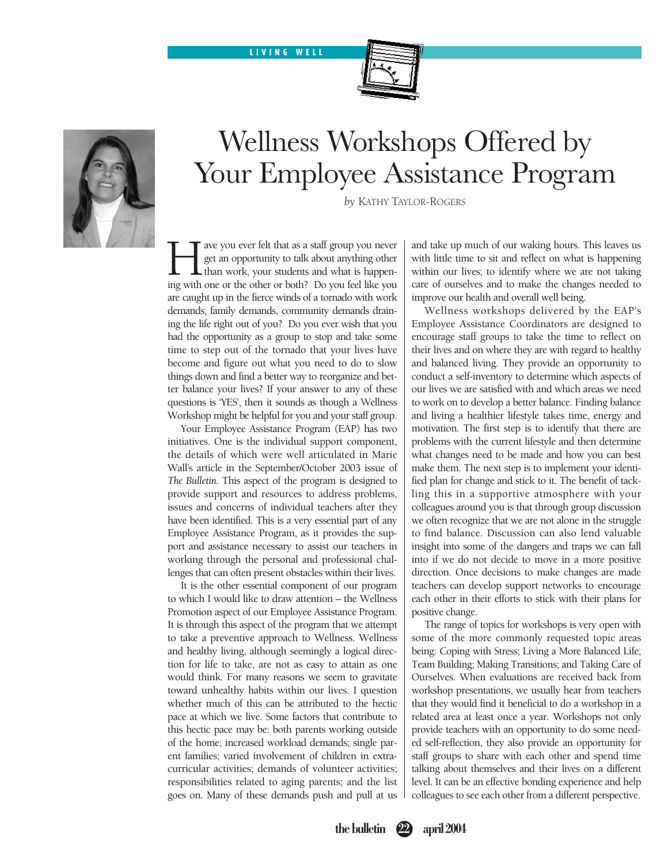#### **ON LOCATION LIVING WELL**





## Wellness Workshops Offered by Your Employee Assistance Program

*by* KATHY TAYLOR-ROGERS

ave you ever felt that as a staff group you never get an opportunity to talk about anything other  $\mathbf L$  than work, your students and what is happening with one or the other or both? Do you feel like you are caught up in the fierce winds of a tornado with work demands, family demands, community demands draining the life right out of you? Do you ever wish that you had the opportunity as a group to stop and take some time to step out of the tornado that your lives have become and figure out what you need to do to slow things down and find a better way to reorganize and better balance your lives? If your answer to any of these questions is 'YES', then it sounds as though a Wellness Workshop might be helpful for you and your staff group.

Your Employee Assistance Program (EAP) has two initiatives. One is the individual support component, the details of which were well articulated in Marie Wall's article in the September/October 2003 issue of *The Bulletin*. This aspect of the program is designed to provide support and resources to address problems, issues and concerns of individual teachers after they have been identified. This is a very essential part of any Employee Assistance Program, as it provides the support and assistance necessary to assist our teachers in working through the personal and professional challenges that can often present obstacles within their lives.

It is the other essential component of our program to which I would like to draw attention – the Wellness Promotion aspect of our Employee Assistance Program. It is through this aspect of the program that we attempt to take a preventive approach to Wellness. Wellness and healthy living, although seemingly a logical direction for life to take, are not as easy to attain as one would think. For many reasons we seem to gravitate toward unhealthy habits within our lives. I question whether much of this can be attributed to the hectic pace at which we live. Some factors that contribute to this hectic pace may be: both parents working outside of the home; increased workload demands; single parent families; varied involvement of children in extracurricular activities; demands of volunteer activities; responsibilities related to aging parents; and the list goes on. Many of these demands push and pull at us and take up much of our waking hours. This leaves us with little time to sit and reflect on what is happening within our lives; to identify where we are not taking care of ourselves and to make the changes needed to improve our health and overall well being.

Wellness workshops delivered by the EAP's Employee Assistance Coordinators are designed to encourage staff groups to take the time to reflect on their lives and on where they are with regard to healthy and balanced living. They provide an opportunity to conduct a self-inventory to determine which aspects of our lives we are satisfied with and which areas we need to work on to develop a better balance. Finding balance and living a healthier lifestyle takes time, energy and motivation. The first step is to identify that there are problems with the current lifestyle and then determine what changes need to be made and how you can best make them. The next step is to implement your identified plan for change and stick to it. The benefit of tackling this in a supportive atmosphere with your colleagues around you is that through group discussion we often recognize that we are not alone in the struggle to find balance. Discussion can also lend valuable insight into some of the dangers and traps we can fall into if we do not decide to move in a more positive direction. Once decisions to make changes are made teachers can develop support networks to encourage each other in their efforts to stick with their plans for positive change.

The range of topics for workshops is very open with some of the more commonly requested topic areas being: Coping with Stress; Living a More Balanced Life; Team Building; Making Transitions; and Taking Care of Ourselves. When evaluations are received back from workshop presentations, we usually hear from teachers that they would find it beneficial to do a workshop in a related area at least once a year. Workshops not only provide teachers with an opportunity to do some needed self-reflection, they also provide an opportunity for staff groups to share with each other and spend time talking about themselves and their lives on a different level. It can be an effective bonding experience and help colleagues to see each other from a different perspective.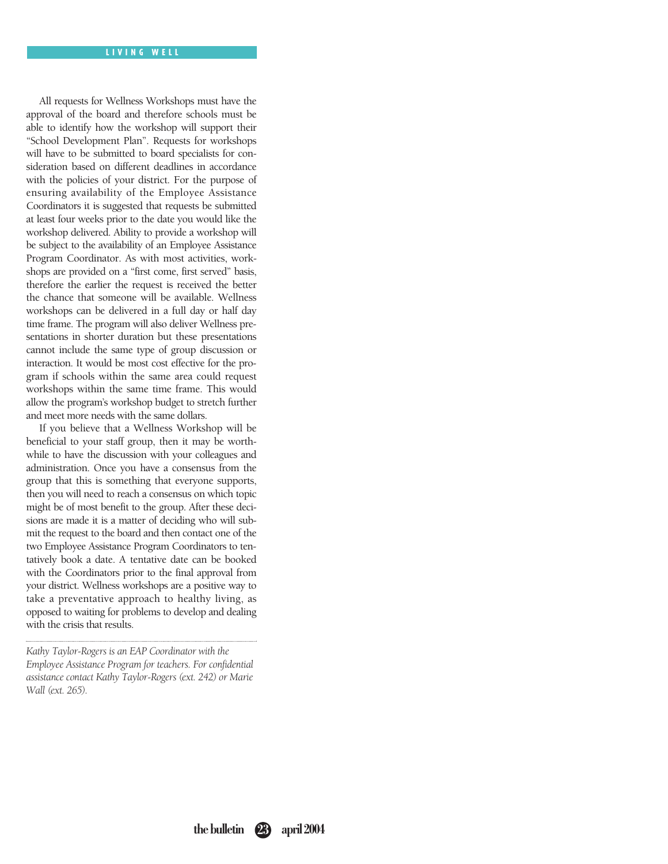All requests for Wellness Workshops must have the approval of the board and therefore schools must be able to identify how the workshop will support their "School Development Plan". Requests for workshops will have to be submitted to board specialists for consideration based on different deadlines in accordance with the policies of your district. For the purpose of ensuring availability of the Employee Assistance Coordinators it is suggested that requests be submitted at least four weeks prior to the date you would like the workshop delivered. Ability to provide a workshop will be subject to the availability of an Employee Assistance Program Coordinator. As with most activities, workshops are provided on a "first come, first served" basis, therefore the earlier the request is received the better the chance that someone will be available. Wellness workshops can be delivered in a full day or half day time frame. The program will also deliver Wellness presentations in shorter duration but these presentations cannot include the same type of group discussion or interaction. It would be most cost effective for the program if schools within the same area could request workshops within the same time frame. This would allow the program's workshop budget to stretch further and meet more needs with the same dollars.

If you believe that a Wellness Workshop will be beneficial to your staff group, then it may be worthwhile to have the discussion with your colleagues and administration. Once you have a consensus from the group that this is something that everyone supports, then you will need to reach a consensus on which topic might be of most benefit to the group. After these decisions are made it is a matter of deciding who will submit the request to the board and then contact one of the two Employee Assistance Program Coordinators to tentatively book a date. A tentative date can be booked with the Coordinators prior to the final approval from your district. Wellness workshops are a positive way to take a preventative approach to healthy living, as opposed to waiting for problems to develop and dealing with the crisis that results.

*Kathy Taylor-Rogers is an EAP Coordinator with the Employee Assistance Program for teachers. For confidential assistance contact Kathy Taylor-Rogers (ext. 242) or Marie Wall (ext. 265).*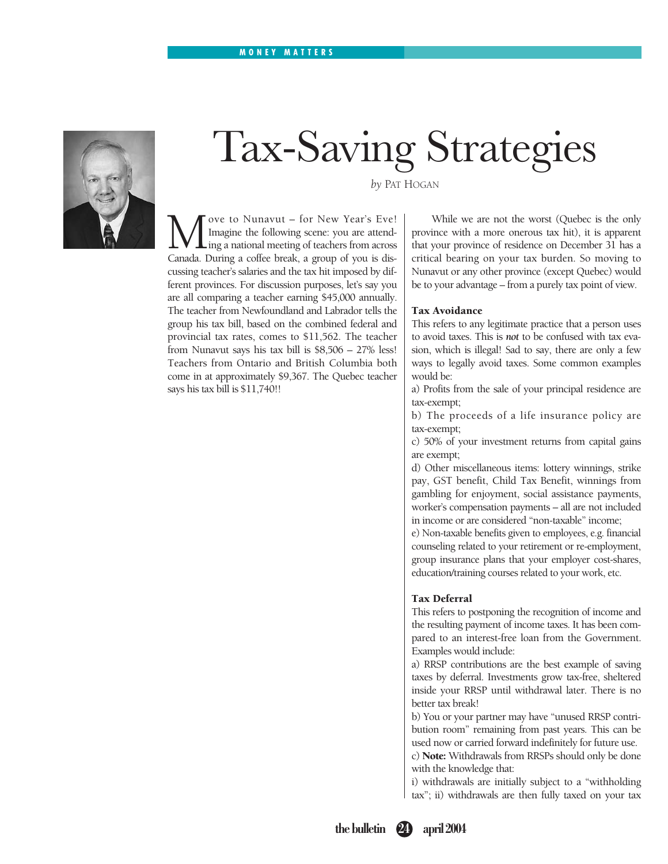#### **ON LOCATION MONEY MATTERS**



# Tax-Saving Strategies

*by* PAT HOGAN

We to Nunavut – for New Year's Eve!<br>Imagine the following scene: you are attend-<br>Canada. During a coffee break, a group of you is dis-Imagine the following scene: you are attending a national meeting of teachers from across Canada. During a coffee break, a group of you is discussing teacher's salaries and the tax hit imposed by different provinces. For discussion purposes, let's say you are all comparing a teacher earning \$45,000 annually. The teacher from Newfoundland and Labrador tells the group his tax bill, based on the combined federal and provincial tax rates, comes to \$11,562. The teacher from Nunavut says his tax bill is \$8,506 – 27% less! Teachers from Ontario and British Columbia both come in at approximately \$9,367. The Quebec teacher says his tax bill is \$11,740!!

While we are not the worst (Quebec is the only province with a more onerous tax hit), it is apparent that your province of residence on December 31 has a critical bearing on your tax burden. So moving to Nunavut or any other province (except Quebec) would

be to your advantage – from a purely tax point of view.

#### **Tax Avoidance**

This refers to any legitimate practice that a person uses to avoid taxes. This is *not* to be confused with tax evasion, which is illegal! Sad to say, there are only a few ways to legally avoid taxes. Some common examples would be:

a) Profits from the sale of your principal residence are tax-exempt;

b) The proceeds of a life insurance policy are tax-exempt;

c) 50% of your investment returns from capital gains are exempt;

d) Other miscellaneous items: lottery winnings, strike pay, GST benefit, Child Tax Benefit, winnings from gambling for enjoyment, social assistance payments, worker's compensation payments – all are not included in income or are considered "non-taxable" income;

e) Non-taxable benefits given to employees, e.g. financial counseling related to your retirement or re-employment, group insurance plans that your employer cost-shares, education/training courses related to your work, etc.

#### **Tax Deferral**

This refers to postponing the recognition of income and the resulting payment of income taxes. It has been compared to an interest-free loan from the Government. Examples would include:

a) RRSP contributions are the best example of saving taxes by deferral. Investments grow tax-free, sheltered inside your RRSP until withdrawal later. There is no better tax break!

b) You or your partner may have "unused RRSP contribution room" remaining from past years. This can be used now or carried forward indefinitely for future use.

c) **Note:** Withdrawals from RRSPs should only be done with the knowledge that:

i) withdrawals are initially subject to a "withholding tax"; ii) withdrawals are then fully taxed on your tax

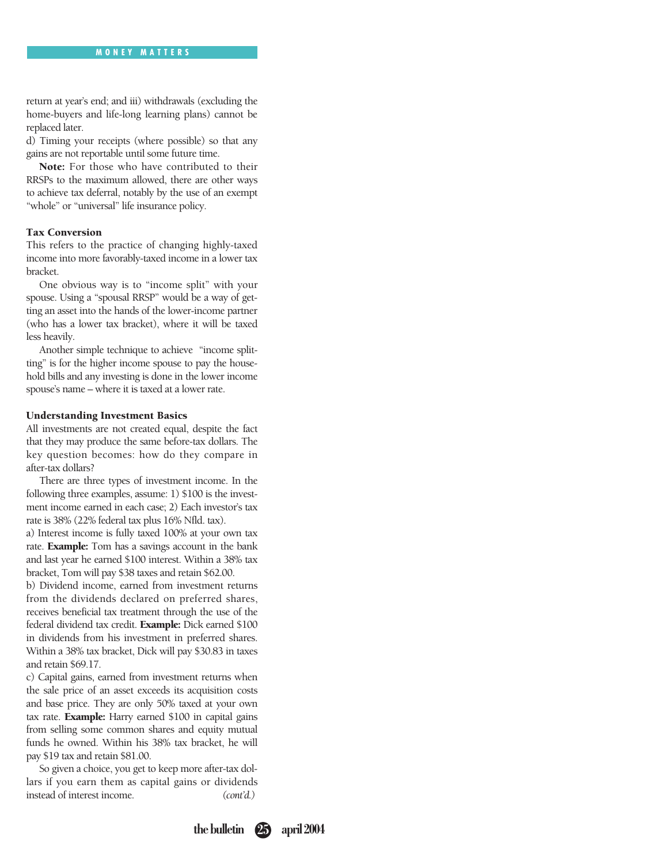return at year's end; and iii) withdrawals (excluding the home-buyers and life-long learning plans) cannot be replaced later.

d) Timing your receipts (where possible) so that any gains are not reportable until some future time.

**Note:** For those who have contributed to their RRSPs to the maximum allowed, there are other ways to achieve tax deferral, notably by the use of an exempt "whole" or "universal" life insurance policy.

#### **Tax Conversion**

This refers to the practice of changing highly-taxed income into more favorably-taxed income in a lower tax bracket.

One obvious way is to "income split" with your spouse. Using a "spousal RRSP" would be a way of getting an asset into the hands of the lower-income partner (who has a lower tax bracket), where it will be taxed less heavily.

Another simple technique to achieve "income splitting" is for the higher income spouse to pay the household bills and any investing is done in the lower income spouse's name – where it is taxed at a lower rate.

#### **Understanding Investment Basics**

All investments are not created equal, despite the fact that they may produce the same before-tax dollars. The key question becomes: how do they compare in after-tax dollars?

There are three types of investment income. In the following three examples, assume: 1) \$100 is the investment income earned in each case; 2) Each investor's tax rate is 38% (22% federal tax plus 16% Nfld. tax).

a) Interest income is fully taxed 100% at your own tax rate. **Example:** Tom has a savings account in the bank and last year he earned \$100 interest. Within a 38% tax bracket, Tom will pay \$38 taxes and retain \$62.00.

b) Dividend income, earned from investment returns from the dividends declared on preferred shares, receives beneficial tax treatment through the use of the federal dividend tax credit. **Example:** Dick earned \$100 in dividends from his investment in preferred shares. Within a 38% tax bracket, Dick will pay \$30.83 in taxes and retain \$69.17.

c) Capital gains, earned from investment returns when the sale price of an asset exceeds its acquisition costs and base price. They are only 50% taxed at your own tax rate. **Example:** Harry earned \$100 in capital gains from selling some common shares and equity mutual funds he owned. Within his 38% tax bracket, he will pay \$19 tax and retain \$81.00.

So given a choice, you get to keep more after-tax dollars if you earn them as capital gains or dividends instead of interest income. *(cont'd.)*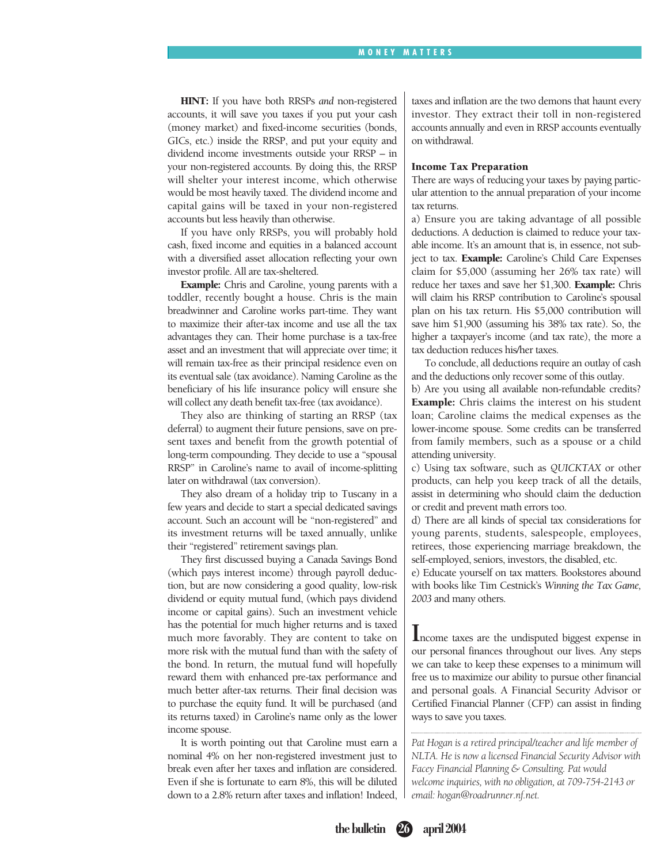**HINT:** If you have both RRSPs *and* non-registered accounts, it will save you taxes if you put your cash (money market) and fixed-income securities (bonds, GICs, etc.) inside the RRSP, and put your equity and dividend income investments outside your RRSP – in your non-registered accounts. By doing this, the RRSP will shelter your interest income, which otherwise would be most heavily taxed. The dividend income and capital gains will be taxed in your non-registered accounts but less heavily than otherwise.

If you have only RRSPs, you will probably hold cash, fixed income and equities in a balanced account with a diversified asset allocation reflecting your own investor profile. All are tax-sheltered.

**Example:** Chris and Caroline, young parents with a toddler, recently bought a house. Chris is the main breadwinner and Caroline works part-time. They want to maximize their after-tax income and use all the tax advantages they can. Their home purchase is a tax-free asset and an investment that will appreciate over time; it will remain tax-free as their principal residence even on its eventual sale (tax avoidance). Naming Caroline as the beneficiary of his life insurance policy will ensure she will collect any death benefit tax-free (tax avoidance).

They also are thinking of starting an RRSP (tax deferral) to augment their future pensions, save on present taxes and benefit from the growth potential of long-term compounding. They decide to use a "spousal RRSP" in Caroline's name to avail of income-splitting later on withdrawal (tax conversion).

They also dream of a holiday trip to Tuscany in a few years and decide to start a special dedicated savings account. Such an account will be "non-registered" and its investment returns will be taxed annually, unlike their "registered" retirement savings plan.

They first discussed buying a Canada Savings Bond (which pays interest income) through payroll deduction, but are now considering a good quality, low-risk dividend or equity mutual fund, (which pays dividend income or capital gains). Such an investment vehicle has the potential for much higher returns and is taxed much more favorably. They are content to take on more risk with the mutual fund than with the safety of the bond. In return, the mutual fund will hopefully reward them with enhanced pre-tax performance and much better after-tax returns. Their final decision was to purchase the equity fund. It will be purchased (and its returns taxed) in Caroline's name only as the lower income spouse.

It is worth pointing out that Caroline must earn a nominal 4% on her non-registered investment just to break even after her taxes and inflation are considered. Even if she is fortunate to earn 8%, this will be diluted down to a 2.8% return after taxes and inflation! Indeed, taxes and inflation are the two demons that haunt every investor. They extract their toll in non-registered accounts annually and even in RRSP accounts eventually on withdrawal.

#### **Income Tax Preparation**

There are ways of reducing your taxes by paying particular attention to the annual preparation of your income tax returns.

a) Ensure you are taking advantage of all possible deductions. A deduction is claimed to reduce your taxable income. It's an amount that is, in essence, not subject to tax. **Example:** Caroline's Child Care Expenses claim for \$5,000 (assuming her 26% tax rate) will reduce her taxes and save her \$1,300. **Example:** Chris will claim his RRSP contribution to Caroline's spousal plan on his tax return. His \$5,000 contribution will save him \$1,900 (assuming his 38% tax rate). So, the higher a taxpayer's income (and tax rate), the more a tax deduction reduces his/her taxes.

To conclude, all deductions require an outlay of cash and the deductions only recover some of this outlay.

b) Are you using all available non-refundable credits? **Example:** Chris claims the interest on his student loan; Caroline claims the medical expenses as the lower-income spouse. Some credits can be transferred from family members, such as a spouse or a child attending university.

c) Using tax software, such as *QUICKTAX* or other products, can help you keep track of all the details, assist in determining who should claim the deduction or credit and prevent math errors too.

d) There are all kinds of special tax considerations for young parents, students, salespeople, employees, retirees, those experiencing marriage breakdown, the self-employed, seniors, investors, the disabled, etc.

e) Educate yourself on tax matters. Bookstores abound with books like Tim Cestnick's *Winning the Tax Game, 2003* and many others.

**I**ncome taxes are the undisputed biggest expense in our personal finances throughout our lives. Any steps we can take to keep these expenses to a minimum will free us to maximize our ability to pursue other financial and personal goals. A Financial Security Advisor or Certified Financial Planner (CFP) can assist in finding ways to save you taxes.

*Pat Hogan is a retired principal/teacher and life member of NLTA. He is now a licensed Financial Security Advisor with Facey Financial Planning & Consulting. Pat would welcome inquiries, with no obligation, at 709-754-2143 or email: hogan@roadrunner.nf.net.*

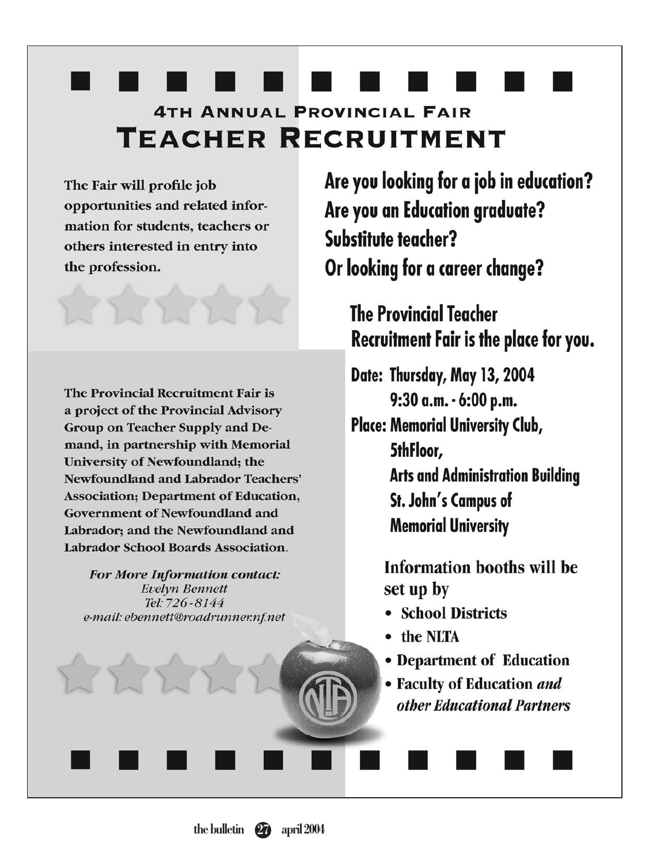## **4TH ANNUAL PROVINCIAL FAIR TEACHER RECRUITMENT**

The Fair will profile job opportunities and related information for students, teachers or others interested in entry into the profession.

The Provincial Recruitment Fair is a project of the Provincial Advisory Group on Teacher Supply and Demand, in partnership with Memorial University of Newfoundland; the **Newfoundland and Labrador Teachers' Association: Department of Education, Government of Newfoundland and** Labrador: and the Newfoundland and Labrador School Boards Association.

**For More Information contact: Evelyn Bennett** Tel: 726-8144 e-mail: ebennett@roadrunner.nf.net Are you looking for a job in education? Are you an Education graduate? Substitute teacher? Or looking for a career change?

## **The Provincial Teacher** Recruitment Fair is the place for you.

Date: Thursday, May 13, 2004 9:30 a.m. - 6:00 p.m.

**Place: Memorial University Club,** 5thFloor, **Arts and Administration Building** St. John's Campus of **Memorial University** 

> **Information booths will be** set up by

- School Districts
- the NLTA
- Department of Education
- Faculty of Education and other Educational Partners